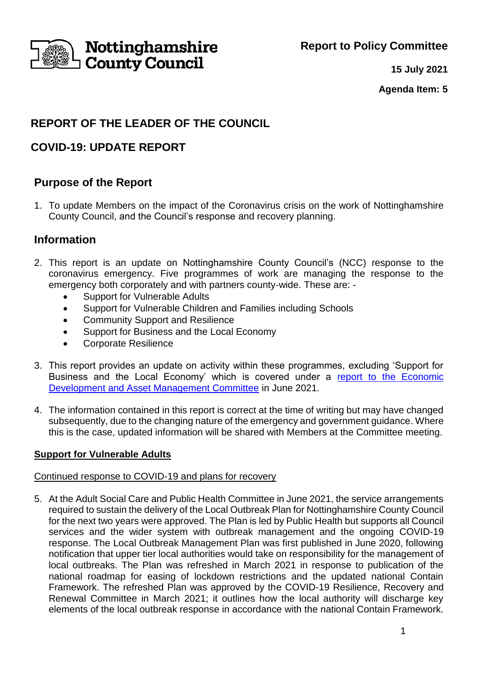**Report to Policy Committee**



# **Nottinghamshire<br>I County Council**

**15 July 2021**

**Agenda Item: 5**

# **REPORT OF THE LEADER OF THE COUNCIL**

# **COVID-19: UPDATE REPORT**

# **Purpose of the Report**

1. To update Members on the impact of the Coronavirus crisis on the work of Nottinghamshire County Council, and the Council's response and recovery planning.

# **Information**

- 2. This report is an update on Nottinghamshire County Council's (NCC) response to the coronavirus emergency. Five programmes of work are managing the response to the emergency both corporately and with partners county-wide. These are: -
	- Support for Vulnerable Adults
	- Support for Vulnerable Children and Families including Schools
	- Community Support and Resilience
	- Support for Business and the Local Economy
	- Corporate Resilience
- 3. This report provides an update on activity within these programmes, excluding 'Support for Business and the Local Economy' which is covered under a report to the Economic [Development and Asset Management Committee](https://www.nottinghamshire.gov.uk/dms/Meetings/tabid/70/ctl/ViewMeetingPublic/mid/397/Meeting/5564/Committee/535/SelectedTab/Documents/Default.aspx) in June 2021.
- 4. The information contained in this report is correct at the time of writing but may have changed subsequently, due to the changing nature of the emergency and government guidance. Where this is the case, updated information will be shared with Members at the Committee meeting.

## **Support for Vulnerable Adults**

## Continued response to COVID-19 and plans for recovery

5. At the Adult Social Care and Public Health Committee in June 2021, the service arrangements required to sustain the delivery of the Local Outbreak Plan for Nottinghamshire County Council for the next two years were approved. The Plan is led by Public Health but supports all Council services and the wider system with outbreak management and the ongoing COVID-19 response. The Local Outbreak Management Plan was first published in June 2020, following notification that upper tier local authorities would take on responsibility for the management of local outbreaks. The Plan was refreshed in March 2021 in response to publication of the national roadmap for easing of lockdown restrictions and the updated national Contain Framework. The refreshed Plan was approved by the COVID-19 Resilience, Recovery and Renewal Committee in March 2021; it outlines how the local authority will discharge key elements of the local outbreak response in accordance with the national Contain Framework.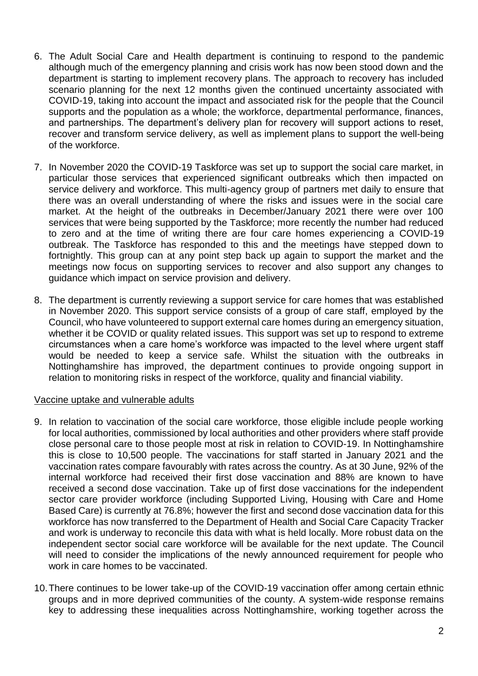- 6. The Adult Social Care and Health department is continuing to respond to the pandemic although much of the emergency planning and crisis work has now been stood down and the department is starting to implement recovery plans. The approach to recovery has included scenario planning for the next 12 months given the continued uncertainty associated with COVID-19, taking into account the impact and associated risk for the people that the Council supports and the population as a whole; the workforce, departmental performance, finances, and partnerships. The department's delivery plan for recovery will support actions to reset, recover and transform service delivery, as well as implement plans to support the well-being of the workforce.
- 7. In November 2020 the COVID-19 Taskforce was set up to support the social care market, in particular those services that experienced significant outbreaks which then impacted on service delivery and workforce. This multi-agency group of partners met daily to ensure that there was an overall understanding of where the risks and issues were in the social care market. At the height of the outbreaks in December/January 2021 there were over 100 services that were being supported by the Taskforce; more recently the number had reduced to zero and at the time of writing there are four care homes experiencing a COVID-19 outbreak. The Taskforce has responded to this and the meetings have stepped down to fortnightly. This group can at any point step back up again to support the market and the meetings now focus on supporting services to recover and also support any changes to guidance which impact on service provision and delivery.
- 8. The department is currently reviewing a support service for care homes that was established in November 2020. This support service consists of a group of care staff, employed by the Council, who have volunteered to support external care homes during an emergency situation, whether it be COVID or quality related issues. This support was set up to respond to extreme circumstances when a care home's workforce was impacted to the level where urgent staff would be needed to keep a service safe. Whilst the situation with the outbreaks in Nottinghamshire has improved, the department continues to provide ongoing support in relation to monitoring risks in respect of the workforce, quality and financial viability.

#### Vaccine uptake and vulnerable adults

- 9. In relation to vaccination of the social care workforce, those eligible include people working for local authorities, commissioned by local authorities and other providers where staff provide close personal care to those people most at risk in relation to COVID-19. In Nottinghamshire this is close to 10,500 people. The vaccinations for staff started in January 2021 and the vaccination rates compare favourably with rates across the country. As at 30 June, 92% of the internal workforce had received their first dose vaccination and 88% are known to have received a second dose vaccination. Take up of first dose vaccinations for the independent sector care provider workforce (including Supported Living, Housing with Care and Home Based Care) is currently at 76.8%; however the first and second dose vaccination data for this workforce has now transferred to the Department of Health and Social Care Capacity Tracker and work is underway to reconcile this data with what is held locally. More robust data on the independent sector social care workforce will be available for the next update. The Council will need to consider the implications of the newly announced requirement for people who work in care homes to be vaccinated.
- 10.There continues to be lower take-up of the COVID-19 vaccination offer among certain ethnic groups and in more deprived communities of the county. A system-wide response remains key to addressing these inequalities across Nottinghamshire, working together across the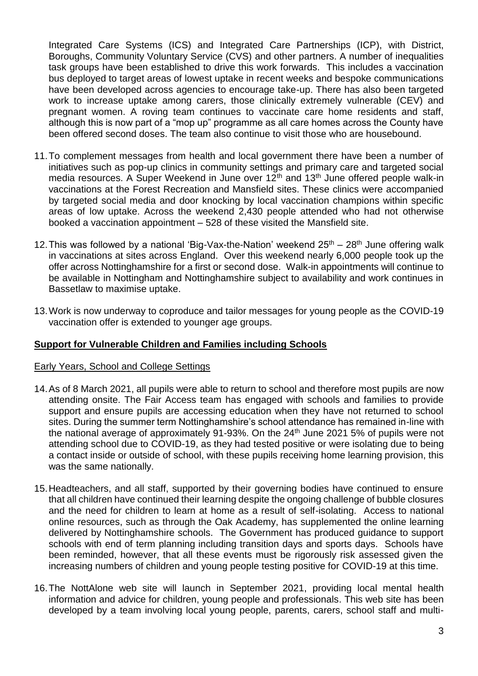Integrated Care Systems (ICS) and Integrated Care Partnerships (ICP), with District, Boroughs, Community Voluntary Service (CVS) and other partners. A number of inequalities task groups have been established to drive this work forwards. This includes a vaccination bus deployed to target areas of lowest uptake in recent weeks and bespoke communications have been developed across agencies to encourage take-up. There has also been targeted work to increase uptake among carers, those clinically extremely vulnerable (CEV) and pregnant women. A roving team continues to vaccinate care home residents and staff, although this is now part of a "mop up" programme as all care homes across the County have been offered second doses. The team also continue to visit those who are housebound.

- 11.To complement messages from health and local government there have been a number of initiatives such as pop-up clinics in community settings and primary care and targeted social media resources. A Super Weekend in June over  $12<sup>th</sup>$  and  $13<sup>th</sup>$  June offered people walk-in vaccinations at the Forest Recreation and Mansfield sites. These clinics were accompanied by targeted social media and door knocking by local vaccination champions within specific areas of low uptake. Across the weekend 2,430 people attended who had not otherwise booked a vaccination appointment – 528 of these visited the Mansfield site.
- 12. This was followed by a national 'Big-Vax-the-Nation' weekend  $25<sup>th</sup> 28<sup>th</sup>$  June offering walk in vaccinations at sites across England. Over this weekend nearly 6,000 people took up the offer across Nottinghamshire for a first or second dose. Walk-in appointments will continue to be available in Nottingham and Nottinghamshire subject to availability and work continues in Bassetlaw to maximise uptake.
- 13.Work is now underway to coproduce and tailor messages for young people as the COVID-19 vaccination offer is extended to younger age groups.

#### **Support for Vulnerable Children and Families including Schools**

#### Early Years, School and College Settings

- 14.As of 8 March 2021, all pupils were able to return to school and therefore most pupils are now attending onsite. The Fair Access team has engaged with schools and families to provide support and ensure pupils are accessing education when they have not returned to school sites. During the summer term Nottinghamshire's school attendance has remained in-line with the national average of approximately 91-93%. On the  $24<sup>th</sup>$  June 2021 5% of pupils were not attending school due to COVID-19, as they had tested positive or were isolating due to being a contact inside or outside of school, with these pupils receiving home learning provision, this was the same nationally.
- 15.Headteachers, and all staff, supported by their governing bodies have continued to ensure that all children have continued their learning despite the ongoing challenge of bubble closures and the need for children to learn at home as a result of self-isolating. Access to national online resources, such as through the Oak Academy, has supplemented the online learning delivered by Nottinghamshire schools. The Government has produced guidance to support schools with end of term planning including transition days and sports days. Schools have been reminded, however, that all these events must be rigorously risk assessed given the increasing numbers of children and young people testing positive for COVID-19 at this time.
- 16.The NottAlone web site will launch in September 2021, providing local mental health information and advice for children, young people and professionals. This web site has been developed by a team involving local young people, parents, carers, school staff and multi-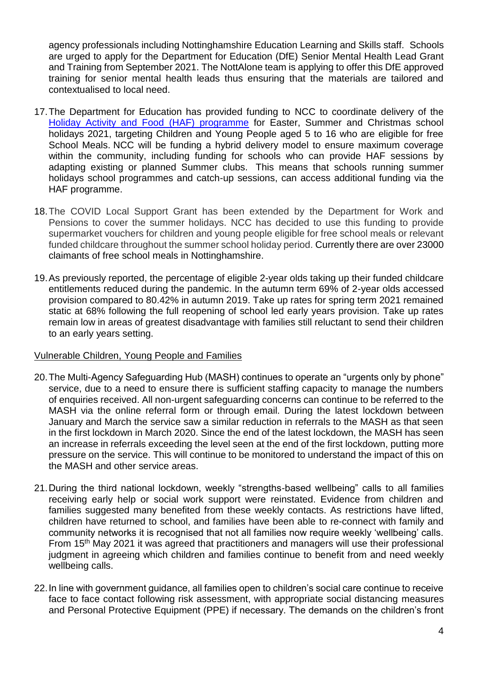agency professionals including Nottinghamshire Education Learning and Skills staff. Schools are urged to apply for the Department for Education (DfE) Senior Mental Health Lead Grant and Training from September 2021. The NottAlone team is applying to offer this DfE approved training for senior mental health leads thus ensuring that the materials are tailored and contextualised to local need.

- 17.The Department for Education has provided funding to NCC to coordinate delivery of the [Holiday Activity and Food \(HAF\) programme](https://www.gov.uk/government/publications/holiday-activities-and-food-programme/holiday-activities-and-food-programme-2021) for Easter, Summer and Christmas school holidays 2021, targeting Children and Young People aged 5 to 16 who are eligible for free School Meals. NCC will be funding a hybrid delivery model to ensure maximum coverage within the community, including funding for schools who can provide HAF sessions by adapting existing or planned Summer clubs. This means that schools running summer holidays school programmes and catch-up sessions, can access additional funding via the HAF programme.
- 18.The COVID Local Support Grant has been extended by the Department for Work and Pensions to cover the summer holidays. NCC has decided to use this funding to provide supermarket vouchers for children and young people eligible for free school meals or relevant funded childcare throughout the summer school holiday period. Currently there are over 23000 claimants of free school meals in Nottinghamshire.
- 19.As previously reported, the percentage of eligible 2-year olds taking up their funded childcare entitlements reduced during the pandemic. In the autumn term 69% of 2-year olds accessed provision compared to 80.42% in autumn 2019. Take up rates for spring term 2021 remained static at 68% following the full reopening of school led early years provision. Take up rates remain low in areas of greatest disadvantage with families still reluctant to send their children to an early years setting.

#### Vulnerable Children, Young People and Families

- 20.The Multi-Agency Safeguarding Hub (MASH) continues to operate an "urgents only by phone" service, due to a need to ensure there is sufficient staffing capacity to manage the numbers of enquiries received. All non-urgent safeguarding concerns can continue to be referred to the MASH via the online referral form or through email. During the latest lockdown between January and March the service saw a similar reduction in referrals to the MASH as that seen in the first lockdown in March 2020. Since the end of the latest lockdown, the MASH has seen an increase in referrals exceeding the level seen at the end of the first lockdown, putting more pressure on the service. This will continue to be monitored to understand the impact of this on the MASH and other service areas.
- 21.During the third national lockdown, weekly "strengths-based wellbeing" calls to all families receiving early help or social work support were reinstated. Evidence from children and families suggested many benefited from these weekly contacts. As restrictions have lifted, children have returned to school, and families have been able to re-connect with family and community networks it is recognised that not all families now require weekly 'wellbeing' calls. From 15th May 2021 it was agreed that practitioners and managers will use their professional judgment in agreeing which children and families continue to benefit from and need weekly wellbeing calls.
- 22.In line with government guidance, all families open to children's social care continue to receive face to face contact following risk assessment, with appropriate social distancing measures and Personal Protective Equipment (PPE) if necessary. The demands on the children's front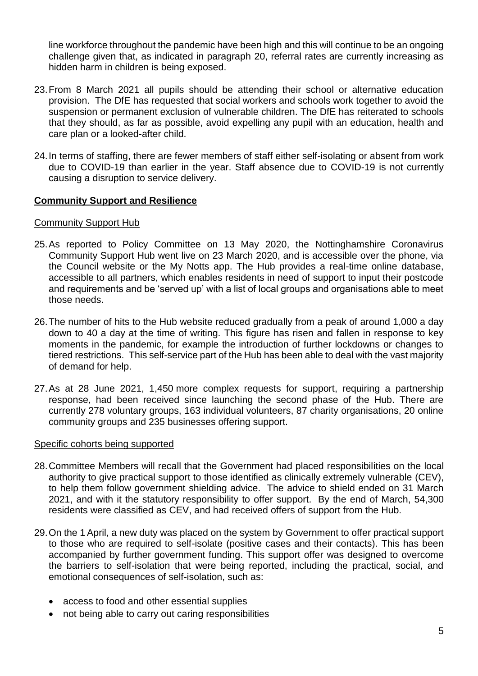line workforce throughout the pandemic have been high and this will continue to be an ongoing challenge given that, as indicated in paragraph 20, referral rates are currently increasing as hidden harm in children is being exposed.

- 23.From 8 March 2021 all pupils should be attending their school or alternative education provision. The DfE has requested that social workers and schools work together to avoid the suspension or permanent exclusion of vulnerable children. The DfE has reiterated to schools that they should, as far as possible, avoid expelling any pupil with an education, health and care plan or a looked-after child.
- 24.In terms of staffing, there are fewer members of staff either self-isolating or absent from work due to COVID-19 than earlier in the year. Staff absence due to COVID-19 is not currently causing a disruption to service delivery.

#### **Community Support and Resilience**

#### Community Support Hub

- 25.As reported to Policy Committee on 13 May 2020, the Nottinghamshire Coronavirus Community Support Hub went live on 23 March 2020, and is accessible over the phone, via the Council website or the My Notts app. The Hub provides a real-time online database, accessible to all partners, which enables residents in need of support to input their postcode and requirements and be 'served up' with a list of local groups and organisations able to meet those needs.
- 26.The number of hits to the Hub website reduced gradually from a peak of around 1,000 a day down to 40 a day at the time of writing. This figure has risen and fallen in response to key moments in the pandemic, for example the introduction of further lockdowns or changes to tiered restrictions. This self-service part of the Hub has been able to deal with the vast majority of demand for help.
- 27.As at 28 June 2021, 1,450 more complex requests for support, requiring a partnership response, had been received since launching the second phase of the Hub. There are currently 278 voluntary groups, 163 individual volunteers, 87 charity organisations, 20 online community groups and 235 businesses offering support.

#### Specific cohorts being supported

- 28.Committee Members will recall that the Government had placed responsibilities on the local authority to give practical support to those identified as clinically extremely vulnerable (CEV), to help them follow government shielding advice. The advice to shield ended on 31 March 2021, and with it the statutory responsibility to offer support. By the end of March, 54,300 residents were classified as CEV, and had received offers of support from the Hub.
- 29.On the 1 April, a new duty was placed on the system by Government to offer practical support to those who are required to self-isolate (positive cases and their contacts). This has been accompanied by further government funding. This support offer was designed to overcome the barriers to self-isolation that were being reported, including the practical, social, and emotional consequences of self-isolation, such as:
	- access to food and other essential supplies
	- not being able to carry out caring responsibilities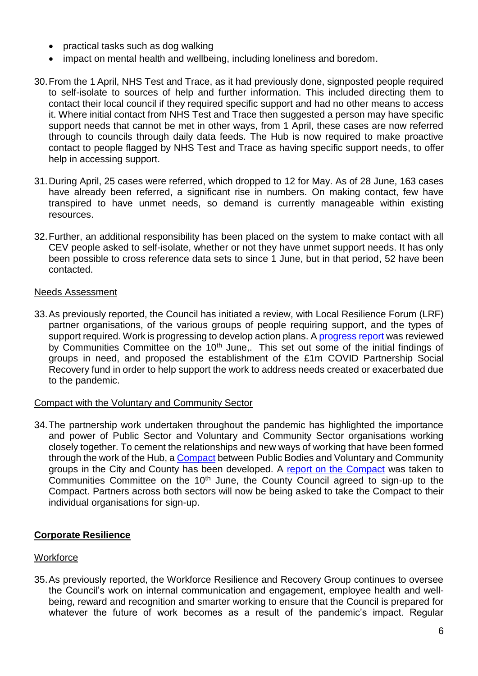- practical tasks such as dog walking
- impact on mental health and wellbeing, including loneliness and boredom.
- 30.From the 1 April, NHS Test and Trace, as it had previously done, signposted people required to self-isolate to sources of help and further information. This included directing them to contact their local council if they required specific support and had no other means to access it. Where initial contact from NHS Test and Trace then suggested a person may have specific support needs that cannot be met in other ways, from 1 April, these cases are now referred through to councils through daily data feeds. The Hub is now required to make proactive contact to people flagged by NHS Test and Trace as having specific support needs, to offer help in accessing support.
- 31.During April, 25 cases were referred, which dropped to 12 for May. As of 28 June, 163 cases have already been referred, a significant rise in numbers. On making contact, few have transpired to have unmet needs, so demand is currently manageable within existing resources.
- 32.Further, an additional responsibility has been placed on the system to make contact with all CEV people asked to self-isolate, whether or not they have unmet support needs. It has only been possible to cross reference data sets to since 1 June, but in that period, 52 have been contacted.

#### Needs Assessment

33.As previously reported, the Council has initiated a review, with Local Resilience Forum (LRF) partner organisations, of the various groups of people requiring support, and the types of support required. Work is progressing to develop action plans. [A progress report](https://www.nottinghamshire.gov.uk/dmsadmin/Document.ashx?czJKcaeAi5tUFL1DTL2UE4zNRBcoShgo=VVxp1noTxE%2fRHuc%2f1SbG%2bi%2bNKGTVtUI30IUXPiW27dM0i6DBEIhHlg%3d%3d&rUzwRPf%2bZ3zd4E7Ikn8Lyw%3d%3d=pwRE6AGJFLDNlh225F5QMaQWCtPHwdhUfCZ%2fLUQzgA2uL5jNRG4jdQ%3d%3d&mCTIbCubSFfXsDGW9IXnlg%3d%3d=hFflUdN3100%3d&kCx1AnS9%2fpWZQ40DXFvdEw%3d%3d=hFflUdN3100%3d&uJovDxwdjMPoYv%2bAJvYtyA%3d%3d=ctNJFf55vVA%3d&FgPlIEJYlotS%2bYGoBi5olA%3d%3d=NHdURQburHA%3d&d9Qjj0ag1Pd993jsyOJqFvmyB7X0CSQK=ctNJFf55vVA%3d&WGewmoAfeNR9xqBux0r1Q8Za60lavYmz=ctNJFf55vVA%3d&WGewmoAfeNQ16B2MHuCpMRKZMwaG1PaO=ctNJFf55vVA%3d) was reviewed by Communities Committee on the 10<sup>th</sup> June,. This set out some of the initial findings of groups in need, and proposed the establishment of the £1m COVID Partnership Social Recovery fund in order to help support the work to address needs created or exacerbated due to the pandemic.

#### Compact with the Voluntary and Community Sector

34.The partnership work undertaken throughout the pandemic has highlighted the importance and power of Public Sector and Voluntary and Community Sector organisations working closely together. To cement the relationships and new ways of working that have been formed through the work of the Hub, a **Compact** between Public Bodies and Voluntary and Community groups in the City and County has been developed. A [report on the Compact](https://www.nottinghamshire.gov.uk/dmsadmin/Document.ashx?czJKcaeAi5tUFL1DTL2UE4zNRBcoShgo=tT%2bDmEJ9%2fre1KHEo4LnlZIc2K6SPTFZ%2f0ja6TbqiPjV199GcFVTMRA%3d%3d&rUzwRPf%2bZ3zd4E7Ikn8Lyw%3d%3d=pwRE6AGJFLDNlh225F5QMaQWCtPHwdhUfCZ%2fLUQzgA2uL5jNRG4jdQ%3d%3d&mCTIbCubSFfXsDGW9IXnlg%3d%3d=hFflUdN3100%3d&kCx1AnS9%2fpWZQ40DXFvdEw%3d%3d=hFflUdN3100%3d&uJovDxwdjMPoYv%2bAJvYtyA%3d%3d=ctNJFf55vVA%3d&FgPlIEJYlotS%2bYGoBi5olA%3d%3d=NHdURQburHA%3d&d9Qjj0ag1Pd993jsyOJqFvmyB7X0CSQK=ctNJFf55vVA%3d&WGewmoAfeNR9xqBux0r1Q8Za60lavYmz=ctNJFf55vVA%3d&WGewmoAfeNQ16B2MHuCpMRKZMwaG1PaO=ctNJFf55vVA%3d) was taken to Communities Committee on the 10<sup>th</sup> June, the County Council agreed to sign-up to the Compact. Partners across both sectors will now be being asked to take the Compact to their individual organisations for sign-up.

#### **Corporate Resilience**

#### **Workforce**

35.As previously reported, the Workforce Resilience and Recovery Group continues to oversee the Council's work on internal communication and engagement, employee health and wellbeing, reward and recognition and smarter working to ensure that the Council is prepared for whatever the future of work becomes as a result of the pandemic's impact. Regular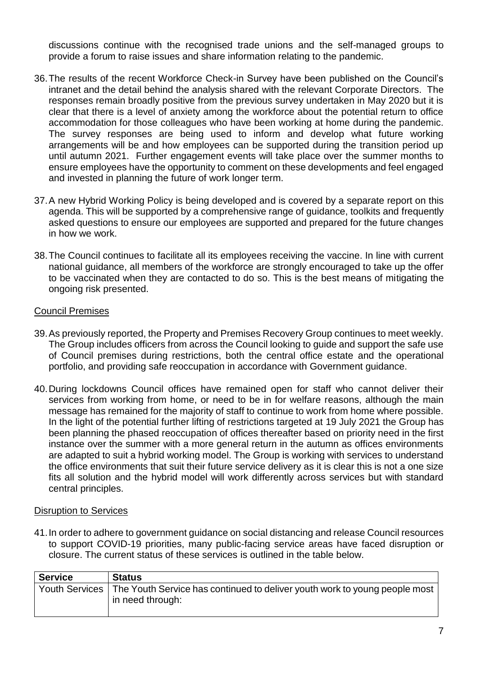discussions continue with the recognised trade unions and the self-managed groups to provide a forum to raise issues and share information relating to the pandemic.

- 36.The results of the recent Workforce Check-in Survey have been published on the Council's intranet and the detail behind the analysis shared with the relevant Corporate Directors. The responses remain broadly positive from the previous survey undertaken in May 2020 but it is clear that there is a level of anxiety among the workforce about the potential return to office accommodation for those colleagues who have been working at home during the pandemic. The survey responses are being used to inform and develop what future working arrangements will be and how employees can be supported during the transition period up until autumn 2021. Further engagement events will take place over the summer months to ensure employees have the opportunity to comment on these developments and feel engaged and invested in planning the future of work longer term.
- 37.A new Hybrid Working Policy is being developed and is covered by a separate report on this agenda. This will be supported by a comprehensive range of guidance, toolkits and frequently asked questions to ensure our employees are supported and prepared for the future changes in how we work.
- 38.The Council continues to facilitate all its employees receiving the vaccine. In line with current national guidance, all members of the workforce are strongly encouraged to take up the offer to be vaccinated when they are contacted to do so. This is the best means of mitigating the ongoing risk presented.

#### Council Premises

- 39.As previously reported, the Property and Premises Recovery Group continues to meet weekly. The Group includes officers from across the Council looking to guide and support the safe use of Council premises during restrictions, both the central office estate and the operational portfolio, and providing safe reoccupation in accordance with Government guidance.
- 40.During lockdowns Council offices have remained open for staff who cannot deliver their services from working from home, or need to be in for welfare reasons, although the main message has remained for the majority of staff to continue to work from home where possible. In the light of the potential further lifting of restrictions targeted at 19 July 2021 the Group has been planning the phased reoccupation of offices thereafter based on priority need in the first instance over the summer with a more general return in the autumn as offices environments are adapted to suit a hybrid working model. The Group is working with services to understand the office environments that suit their future service delivery as it is clear this is not a one size fits all solution and the hybrid model will work differently across services but with standard central principles.

#### Disruption to Services

41.In order to adhere to government guidance on social distancing and release Council resources to support COVID-19 priorities, many public-facing service areas have faced disruption or closure. The current status of these services is outlined in the table below.

| <b>Service</b> | <b>Status</b>                                                                                                     |
|----------------|-------------------------------------------------------------------------------------------------------------------|
|                | Youth Services   The Youth Service has continued to deliver youth work to young people most  <br>in need through: |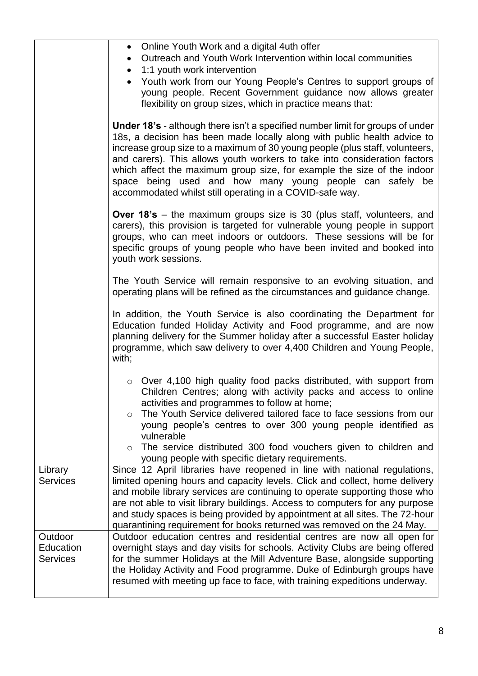|                 | Online Youth Work and a digital 4uth offer<br>$\bullet$                                                                                                                                                                                                                                                                                                                                                                                                                                                                           |
|-----------------|-----------------------------------------------------------------------------------------------------------------------------------------------------------------------------------------------------------------------------------------------------------------------------------------------------------------------------------------------------------------------------------------------------------------------------------------------------------------------------------------------------------------------------------|
|                 | Outreach and Youth Work Intervention within local communities<br>$\bullet$                                                                                                                                                                                                                                                                                                                                                                                                                                                        |
|                 | 1:1 youth work intervention<br>$\bullet$                                                                                                                                                                                                                                                                                                                                                                                                                                                                                          |
|                 | Youth work from our Young People's Centres to support groups of                                                                                                                                                                                                                                                                                                                                                                                                                                                                   |
|                 | young people. Recent Government guidance now allows greater                                                                                                                                                                                                                                                                                                                                                                                                                                                                       |
|                 | flexibility on group sizes, which in practice means that:                                                                                                                                                                                                                                                                                                                                                                                                                                                                         |
|                 | <b>Under 18's</b> - although there isn't a specified number limit for groups of under<br>18s, a decision has been made locally along with public health advice to<br>increase group size to a maximum of 30 young people (plus staff, volunteers,<br>and carers). This allows youth workers to take into consideration factors<br>which affect the maximum group size, for example the size of the indoor<br>space being used and how many young people can safely be<br>accommodated whilst still operating in a COVID-safe way. |
|                 | <b>Over 18's</b> – the maximum groups size is 30 (plus staff, volunteers, and<br>carers), this provision is targeted for vulnerable young people in support<br>groups, who can meet indoors or outdoors. These sessions will be for<br>specific groups of young people who have been invited and booked into<br>youth work sessions.                                                                                                                                                                                              |
|                 | The Youth Service will remain responsive to an evolving situation, and<br>operating plans will be refined as the circumstances and guidance change.                                                                                                                                                                                                                                                                                                                                                                               |
|                 | In addition, the Youth Service is also coordinating the Department for<br>Education funded Holiday Activity and Food programme, and are now<br>planning delivery for the Summer holiday after a successful Easter holiday<br>programme, which saw delivery to over 4,400 Children and Young People,<br>with;                                                                                                                                                                                                                      |
|                 | $\circ$ Over 4,100 high quality food packs distributed, with support from<br>Children Centres; along with activity packs and access to online<br>activities and programmes to follow at home;<br>The Youth Service delivered tailored face to face sessions from our<br>$\circ$<br>young people's centres to over 300 young people identified as<br>vulnerable<br>The service distributed 300 food vouchers given to children and<br>$\circ$<br>young people with specific dietary requirements.                                  |
| Library         | Since 12 April libraries have reopened in line with national regulations,                                                                                                                                                                                                                                                                                                                                                                                                                                                         |
| <b>Services</b> | limited opening hours and capacity levels. Click and collect, home delivery                                                                                                                                                                                                                                                                                                                                                                                                                                                       |
|                 | and mobile library services are continuing to operate supporting those who                                                                                                                                                                                                                                                                                                                                                                                                                                                        |
|                 | are not able to visit library buildings. Access to computers for any purpose                                                                                                                                                                                                                                                                                                                                                                                                                                                      |
|                 | and study spaces is being provided by appointment at all sites. The 72-hour                                                                                                                                                                                                                                                                                                                                                                                                                                                       |
| Outdoor         | quarantining requirement for books returned was removed on the 24 May.<br>Outdoor education centres and residential centres are now all open for                                                                                                                                                                                                                                                                                                                                                                                  |
| Education       | overnight stays and day visits for schools. Activity Clubs are being offered                                                                                                                                                                                                                                                                                                                                                                                                                                                      |
| <b>Services</b> | for the summer Holidays at the Mill Adventure Base, alongside supporting                                                                                                                                                                                                                                                                                                                                                                                                                                                          |
|                 | the Holiday Activity and Food programme. Duke of Edinburgh groups have                                                                                                                                                                                                                                                                                                                                                                                                                                                            |
|                 | resumed with meeting up face to face, with training expeditions underway.                                                                                                                                                                                                                                                                                                                                                                                                                                                         |
|                 |                                                                                                                                                                                                                                                                                                                                                                                                                                                                                                                                   |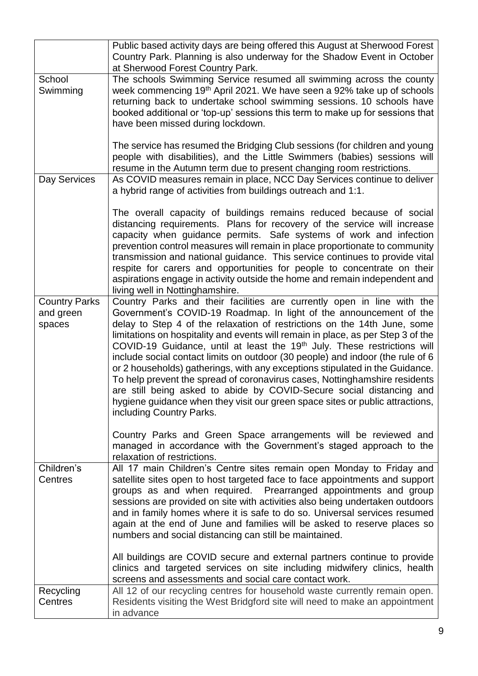|                                             | Public based activity days are being offered this August at Sherwood Forest<br>Country Park. Planning is also underway for the Shadow Event in October<br>at Sherwood Forest Country Park.                                                                                                                                                                                                                                                                                                                                                                                                                                                                                                                                                                                                                                                |
|---------------------------------------------|-------------------------------------------------------------------------------------------------------------------------------------------------------------------------------------------------------------------------------------------------------------------------------------------------------------------------------------------------------------------------------------------------------------------------------------------------------------------------------------------------------------------------------------------------------------------------------------------------------------------------------------------------------------------------------------------------------------------------------------------------------------------------------------------------------------------------------------------|
| School<br>Swimming                          | The schools Swimming Service resumed all swimming across the county<br>week commencing 19 <sup>th</sup> April 2021. We have seen a 92% take up of schools<br>returning back to undertake school swimming sessions. 10 schools have<br>booked additional or 'top-up' sessions this term to make up for sessions that<br>have been missed during lockdown.                                                                                                                                                                                                                                                                                                                                                                                                                                                                                  |
|                                             | The service has resumed the Bridging Club sessions (for children and young<br>people with disabilities), and the Little Swimmers (babies) sessions will<br>resume in the Autumn term due to present changing room restrictions.                                                                                                                                                                                                                                                                                                                                                                                                                                                                                                                                                                                                           |
| Day Services                                | As COVID measures remain in place, NCC Day Services continue to deliver<br>a hybrid range of activities from buildings outreach and 1:1.                                                                                                                                                                                                                                                                                                                                                                                                                                                                                                                                                                                                                                                                                                  |
|                                             | The overall capacity of buildings remains reduced because of social<br>distancing requirements. Plans for recovery of the service will increase<br>capacity when guidance permits. Safe systems of work and infection<br>prevention control measures will remain in place proportionate to community<br>transmission and national guidance. This service continues to provide vital<br>respite for carers and opportunities for people to concentrate on their<br>aspirations engage in activity outside the home and remain independent and<br>living well in Nottinghamshire.                                                                                                                                                                                                                                                           |
| <b>Country Parks</b><br>and green<br>spaces | Country Parks and their facilities are currently open in line with the<br>Government's COVID-19 Roadmap. In light of the announcement of the<br>delay to Step 4 of the relaxation of restrictions on the 14th June, some<br>limitations on hospitality and events will remain in place, as per Step 3 of the<br>COVID-19 Guidance, until at least the 19 <sup>th</sup> July. These restrictions will<br>include social contact limits on outdoor (30 people) and indoor (the rule of 6<br>or 2 households) gatherings, with any exceptions stipulated in the Guidance.<br>To help prevent the spread of coronavirus cases, Nottinghamshire residents<br>are still being asked to abide by COVID-Secure social distancing and<br>hygiene guidance when they visit our green space sites or public attractions,<br>including Country Parks. |
|                                             | Country Parks and Green Space arrangements will be reviewed and<br>managed in accordance with the Government's staged approach to the<br>relaxation of restrictions.                                                                                                                                                                                                                                                                                                                                                                                                                                                                                                                                                                                                                                                                      |
| Children's<br>Centres                       | All 17 main Children's Centre sites remain open Monday to Friday and<br>satellite sites open to host targeted face to face appointments and support<br>groups as and when required. Prearranged appointments and group<br>sessions are provided on site with activities also being undertaken outdoors<br>and in family homes where it is safe to do so. Universal services resumed<br>again at the end of June and families will be asked to reserve places so<br>numbers and social distancing can still be maintained.                                                                                                                                                                                                                                                                                                                 |
|                                             | All buildings are COVID secure and external partners continue to provide<br>clinics and targeted services on site including midwifery clinics, health<br>screens and assessments and social care contact work.                                                                                                                                                                                                                                                                                                                                                                                                                                                                                                                                                                                                                            |
| Recycling<br>Centres                        | All 12 of our recycling centres for household waste currently remain open.<br>Residents visiting the West Bridgford site will need to make an appointment<br>in advance                                                                                                                                                                                                                                                                                                                                                                                                                                                                                                                                                                                                                                                                   |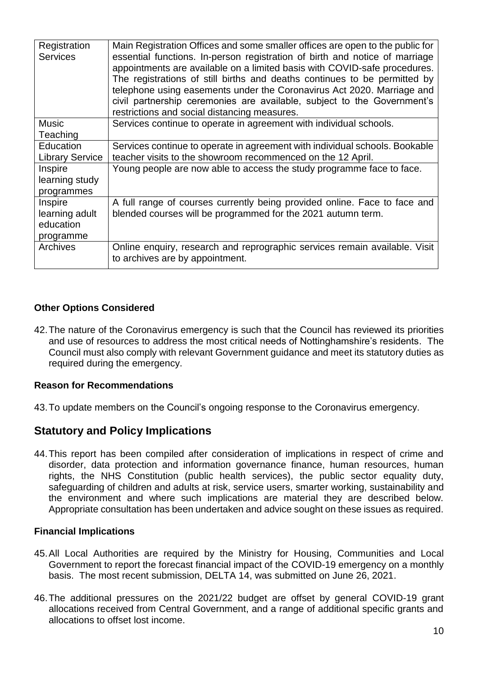| Registration<br><b>Services</b>                     | Main Registration Offices and some smaller offices are open to the public for<br>essential functions. In-person registration of birth and notice of marriage<br>appointments are available on a limited basis with COVID-safe procedures.<br>The registrations of still births and deaths continues to be permitted by<br>telephone using easements under the Coronavirus Act 2020. Marriage and<br>civil partnership ceremonies are available, subject to the Government's<br>restrictions and social distancing measures. |
|-----------------------------------------------------|-----------------------------------------------------------------------------------------------------------------------------------------------------------------------------------------------------------------------------------------------------------------------------------------------------------------------------------------------------------------------------------------------------------------------------------------------------------------------------------------------------------------------------|
| <b>Music</b>                                        | Services continue to operate in agreement with individual schools.                                                                                                                                                                                                                                                                                                                                                                                                                                                          |
| Teaching                                            |                                                                                                                                                                                                                                                                                                                                                                                                                                                                                                                             |
| Education                                           | Services continue to operate in agreement with individual schools. Bookable                                                                                                                                                                                                                                                                                                                                                                                                                                                 |
| <b>Library Service</b>                              | teacher visits to the showroom recommenced on the 12 April.                                                                                                                                                                                                                                                                                                                                                                                                                                                                 |
| Inspire<br>learning study<br>programmes             | Young people are now able to access the study programme face to face.                                                                                                                                                                                                                                                                                                                                                                                                                                                       |
| Inspire<br>learning adult<br>education<br>programme | A full range of courses currently being provided online. Face to face and<br>blended courses will be programmed for the 2021 autumn term.                                                                                                                                                                                                                                                                                                                                                                                   |
| <b>Archives</b>                                     | Online enquiry, research and reprographic services remain available. Visit<br>to archives are by appointment.                                                                                                                                                                                                                                                                                                                                                                                                               |

### **Other Options Considered**

42.The nature of the Coronavirus emergency is such that the Council has reviewed its priorities and use of resources to address the most critical needs of Nottinghamshire's residents. The Council must also comply with relevant Government guidance and meet its statutory duties as required during the emergency.

#### **Reason for Recommendations**

43.To update members on the Council's ongoing response to the Coronavirus emergency.

## **Statutory and Policy Implications**

44.This report has been compiled after consideration of implications in respect of crime and disorder, data protection and information governance finance, human resources, human rights, the NHS Constitution (public health services), the public sector equality duty, safeguarding of children and adults at risk, service users, smarter working, sustainability and the environment and where such implications are material they are described below. Appropriate consultation has been undertaken and advice sought on these issues as required.

#### **Financial Implications**

- 45.All Local Authorities are required by the Ministry for Housing, Communities and Local Government to report the forecast financial impact of the COVID-19 emergency on a monthly basis. The most recent submission, DELTA 14, was submitted on June 26, 2021.
- 46.The additional pressures on the 2021/22 budget are offset by general COVID-19 grant allocations received from Central Government, and a range of additional specific grants and allocations to offset lost income.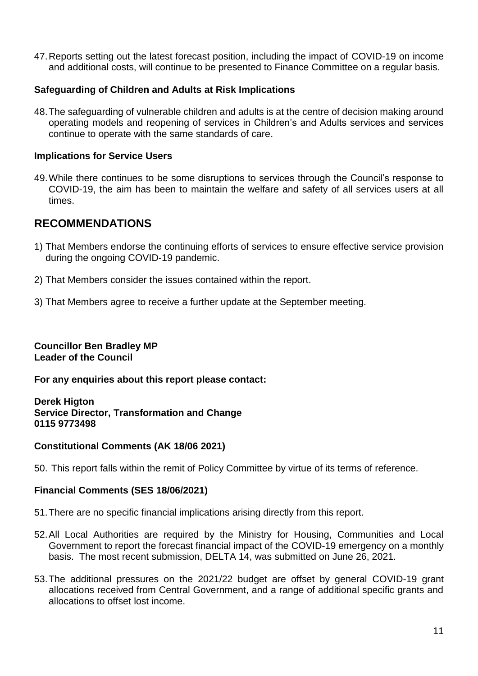47.Reports setting out the latest forecast position, including the impact of COVID-19 on income and additional costs, will continue to be presented to Finance Committee on a regular basis.

#### **Safeguarding of Children and Adults at Risk Implications**

48.The safeguarding of vulnerable children and adults is at the centre of decision making around operating models and reopening of services in Children's and Adults services and services continue to operate with the same standards of care.

#### **Implications for Service Users**

49.While there continues to be some disruptions to services through the Council's response to COVID-19, the aim has been to maintain the welfare and safety of all services users at all times.

## **RECOMMENDATIONS**

- 1) That Members endorse the continuing efforts of services to ensure effective service provision during the ongoing COVID-19 pandemic.
- 2) That Members consider the issues contained within the report.
- 3) That Members agree to receive a further update at the September meeting.

#### **Councillor Ben Bradley MP Leader of the Council**

**For any enquiries about this report please contact:** 

**Derek Higton Service Director, Transformation and Change 0115 9773498**

#### **Constitutional Comments (AK 18/06 2021)**

50. This report falls within the remit of Policy Committee by virtue of its terms of reference.

#### **Financial Comments (SES 18/06/2021)**

- 51.There are no specific financial implications arising directly from this report.
- 52.All Local Authorities are required by the Ministry for Housing, Communities and Local Government to report the forecast financial impact of the COVID-19 emergency on a monthly basis. The most recent submission, DELTA 14, was submitted on June 26, 2021.
- 53.The additional pressures on the 2021/22 budget are offset by general COVID-19 grant allocations received from Central Government, and a range of additional specific grants and allocations to offset lost income.